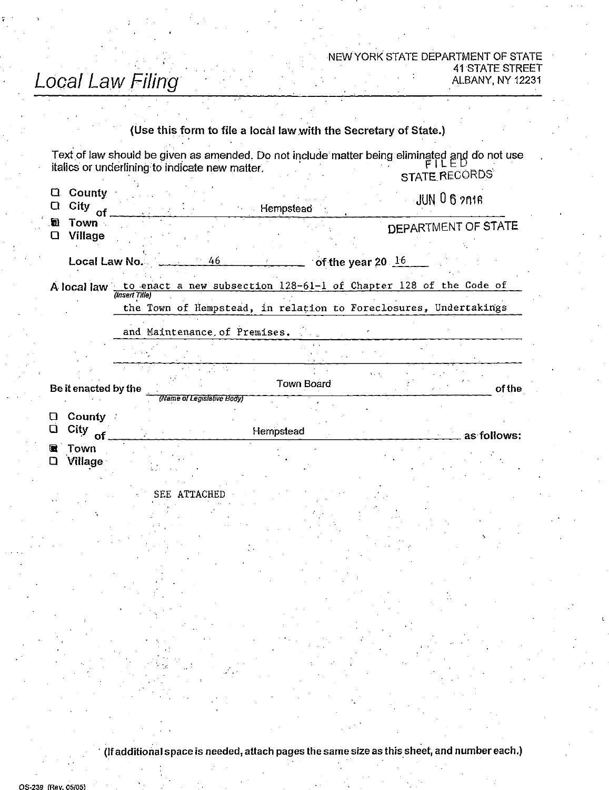## Local Law Filing

## NEW YORK STATE DEPARTMENT OF STATE 41 STATE STREET<br>ALBANY, NY 12231

|         |                          |                                        | (Use this form to file a local law with the Secretary of State.)                                                                                 |                     |            |                     |                     |             |
|---------|--------------------------|----------------------------------------|--------------------------------------------------------------------------------------------------------------------------------------------------|---------------------|------------|---------------------|---------------------|-------------|
|         |                          |                                        | Text of law should be given as amended. Do not include matter being eliminated and do not use<br>italics or underlining to indicate new matter.  |                     |            |                     | STATE RECORDS       |             |
| Q.<br>O | County<br>City<br>of     | JUN 062018<br><b>Example Hempstead</b> |                                                                                                                                                  |                     |            |                     |                     |             |
| a.<br>⊔ | Town -<br><b>Village</b> |                                        |                                                                                                                                                  |                     |            |                     | DEPARTMENT OF STATE |             |
|         | Local Law No.            |                                        | $46 -$                                                                                                                                           | $\mathcal{L}^{\pm}$ |            | of the year 20 $16$ |                     |             |
|         |                          | (Insert Tille)                         | A local law to enact a new subsection 128-61-1 of Chapter 128 of the Code of<br>the Town of Hempstead, in relation to Foreclosures, Undertakings |                     |            |                     |                     |             |
|         |                          |                                        | and Maintenance of Premises.                                                                                                                     |                     |            |                     |                     |             |
|         |                          |                                        |                                                                                                                                                  |                     |            |                     |                     |             |
|         | Be it enacted by the     |                                        |                                                                                                                                                  |                     | Town Board | 55.52               |                     | of the      |
| u<br>⊔  | County<br>City<br>of     |                                        | (Name of Legislative Body)                                                                                                                       |                     | Hempstead  |                     |                     | as follows: |
|         | Town<br><b>Village</b>   |                                        |                                                                                                                                                  |                     |            |                     |                     |             |
|         |                          |                                        | ATTACHED<br>SEE                                                                                                                                  |                     |            |                     |                     |             |
|         |                          |                                        |                                                                                                                                                  |                     |            |                     |                     |             |
|         |                          |                                        |                                                                                                                                                  |                     |            |                     |                     |             |
|         |                          |                                        |                                                                                                                                                  |                     |            |                     |                     |             |

(If additional space is needed, attach pagesthe same size as this sheet, and number each.)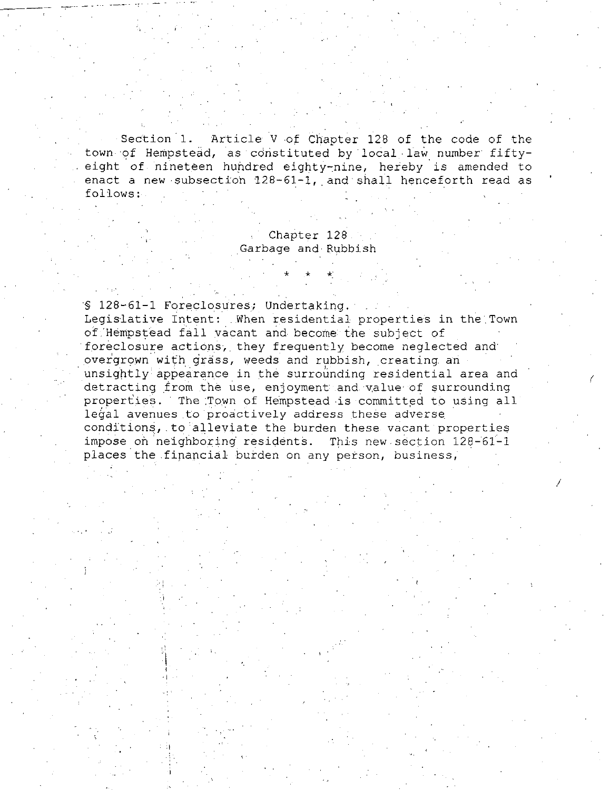Section 1. Article V of Chapter 128 of the code of the town- of Hempstead, as constituted by local law number fiftyeight of nineteen hundred eighty-nine, hereby is amended to enact a new subsection  $128-61-1$ , and shall henceforth read as follows:

> Chapter 128 Garbage and-Rubbish

§ 128-61-1 Foreclosures; Undertaking.

Legislative Intent: When residential properties in the Town of Hempstead fall vacant and become the subject of foreclosure actions, they frequently become neglected and overgrown with grass, weeds and rubbish, creating an unsightly appearance in the surrounding residential area and detracting from the use, enjoyment and value of surrounding properties. The Town of Hempstead is committed to using all legal avenues to proactively address these adverse conditions, to alleviate the burden these vacant properties impose on neighboring residents. This new section 128-61-1 places the financial burden on any person, business,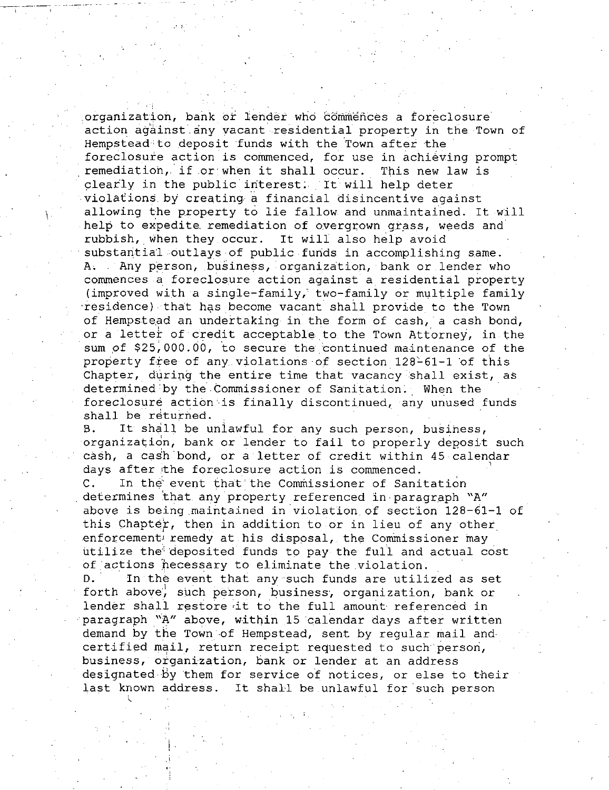organization, bank or lender who commences a foreclosure action against any vacant residential property in the Town of Hempstead to deposit funds with the Town after the foreclosure action is commenced, for use in achieving prompt remediation, if or when it shall occur. This new law is clearly in the public interest. It will help deter violations by creating a financial disincentive against allowing the property to lie fallow and unmaintained. It will help to expedite remediation of overgrown grass, weeds and rubbish, when they occur. It will also help avoid substantial outlays of public funds in accomplishing same. A. Any person, business, organization, bank or lender who commences a foreclosure action against a residential property (improved with a single-family, two-family or multiple family residence) that has become vacant shall provide to the Town of Hempstead an undertaking in the form of cash, a cash bond, or a letter of credit acceptable to the Town Attorney, in the sum of \$25,000.00, to secure the continued maintenance of the property free of any violations of section 128-61-1 of this Chapter, during the entire time that vacancy shall exist, as determined'by the-Commissioner of Sanitation. When the foreclosure action is finally discontinued, any unused funds shall be returned.

B. It shall be unlawful for any such person, business, organization, bank or lender to fail to properly deposit such cash, a cash bond, or a letter of credit within 45 calendar days after the foreclosure action is commenced.

C. In the event that the Commissioner of Sanitation determines that any property referenced in paragraph "A" above is being maintained in violation of section  $128-61-1$  of this Chapter, then in addition to or in lieu of any other enforcement remedy at his disposal, the Commissioner may utilize the deposited funds to pay the full and actual cost of actions necessary to eliminate the violation.

D. In the event that any such funds are utilized as set forth above, such person, business, organization, bank or lender shall restore it to the full amount referenced in paragraph "A" above, within 15 calendar days after written demand by the Town of Hempstead, sent by regular mail and certified mail, return receipt requested to such person, business, organization, bank or lender at an address designated by them for service of notices, or else to their last known address. It shall be unlawful for such person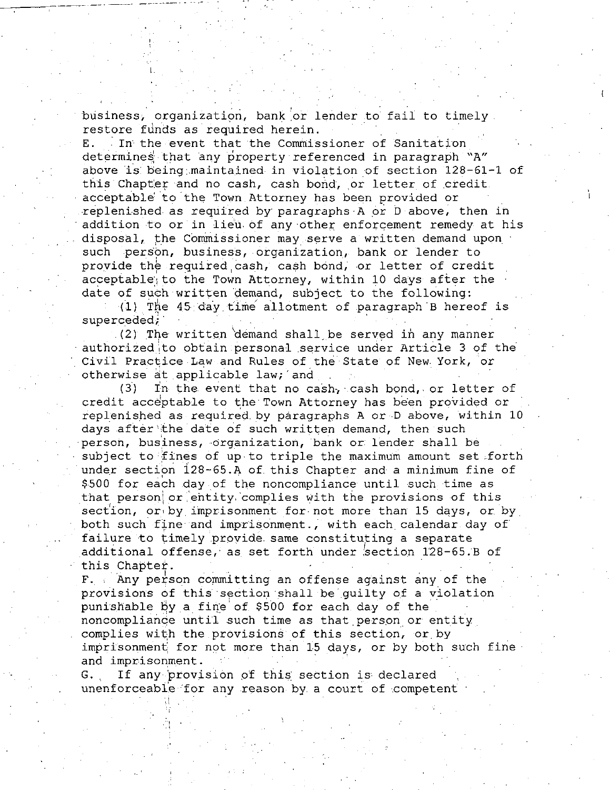business, organization, bank or lender to fail to timely. restore funds as required herein.

E. In the event that the Commissioner of Sanitation determines that any property referenced in paragraph "A" above is being maintained in violation of section  $128-61-1$  of this Chapter and no cash, cash bond, or letter of credit. acceptable to the Town Attorney has been provided or replenished as required by paragraphs  $A$  or  $D$  above, then in addition to or in lieu of any other enforcement remedy at his disposal, the Commissioner may serve a written demand upon such person, business, organization, bank or lender to provide the required cash, cash bond, or letter of credit acceptable; to the Town Attorney, within 10 days after the date of such written demand, subject to the following:

(1) The  $45$  day time allotment of paragraph B hereof is superceded,

(2) The written demand shall be served in any manner authorized to obtain personal service under Article 3 of the Civil Practice Law and Rules of the State of New York, or otherwise at applicable law; and

 $(3)$  In the event that no cash, cash bond, or letter of credit acceptable to the Town Attorney has been provided or replenished as required by paragraphs A or D above, within 10 days after the date of such written demand, then such person, business, organization, bank or lender shall be subject to fines of up to triple the maximum amount set forth under section 128-65.A of this Chapter and a minimum fine of \$500 for each day of the noncompliance until such time as that person or entity complies with the provisions of this section, or by imprisonment for not more than 15 days, or by both such fine and imprisonment., with each calendar day of failure to timely provide same constituting a separate additional offense, as set forth under section 128-65.B of this Chapter.

 $F.$  Any person committing an offense against any of the provisions of this section shall be quilty of a violation punishable by a fine of \$500 for each day of the noncompliance until such time as that person or entity complies with the provisions of this section, or by imprisonment for not more than 15 days, or by both such fine and imprisonment.

G. If any provision of this section is declared unenforceable for any reason by a court of competent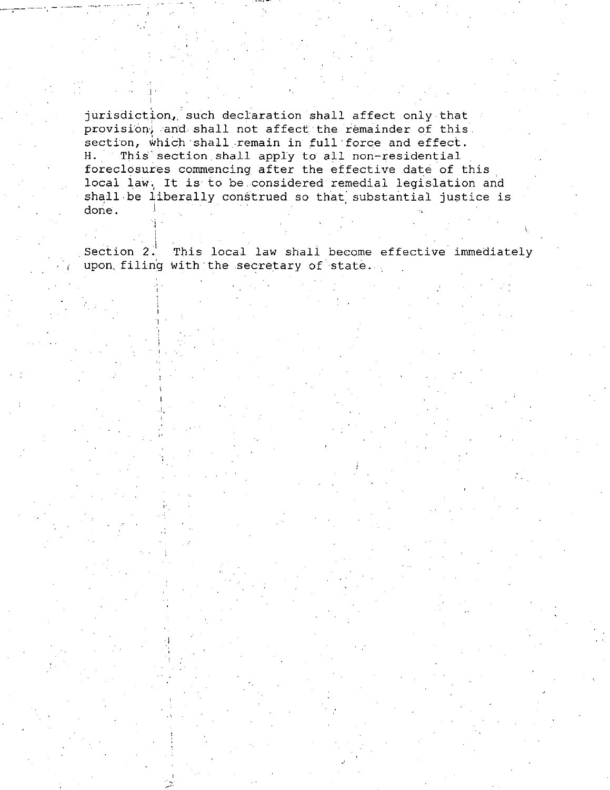jurisdiction, such declaration shall affect only that provision, and shall not affect the remainder of this section, which shall remain in full force and effect. H. This section shall apply to all non-residential foreclosures commencing after the effective date of this local law. It is to be considered remedial legislation and shall be liberally construed so that substantial justice is done.  $\blacksquare$  .  $\blacksquare$  .  $\blacksquare$  .  $\blacksquare$  .  $\blacksquare$  .  $\blacksquare$  .  $\blacksquare$  .  $\blacksquare$  .  $\blacksquare$ 

Section  $2$ . This local law shall become effective immediately upon filing with the secretary of state.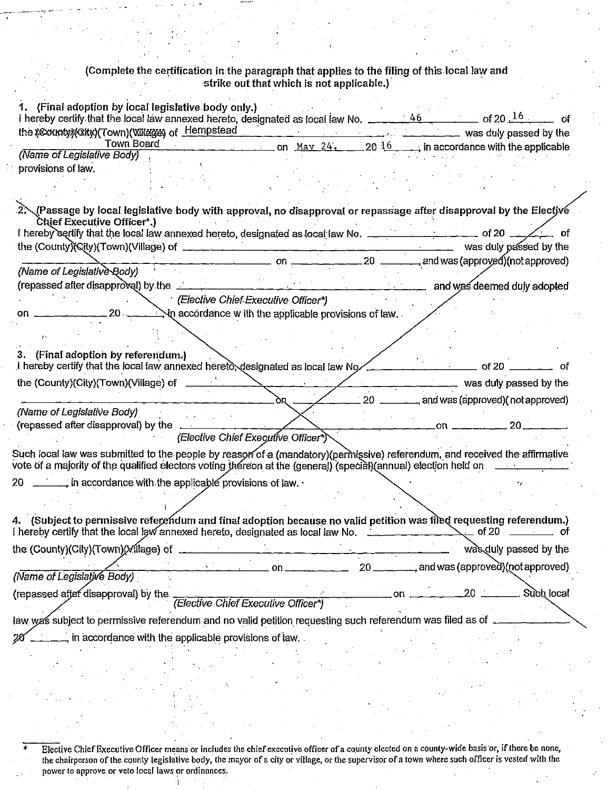## (Complete the certification in the paragraph that applies to the filing of this local law and strike out that which is not applicable.)

| 1. (Final adoption by local legislative body only.)<br>I hereby certify that the local law annexed hereto, designated as local law No. $\frac{46}{200}$ of 20 $\frac{16}{100}$ of                      |                                                        |
|--------------------------------------------------------------------------------------------------------------------------------------------------------------------------------------------------------|--------------------------------------------------------|
|                                                                                                                                                                                                        |                                                        |
| Town Board $\frac{16}{24}$ , $\frac{16}{20}$ in accordance with the applicable                                                                                                                         |                                                        |
| (Name of Legislative Body)                                                                                                                                                                             |                                                        |
| provisions of law.                                                                                                                                                                                     |                                                        |
|                                                                                                                                                                                                        |                                                        |
|                                                                                                                                                                                                        |                                                        |
| 2.∕Passage by local legislative body with approval, no disapproval or repassage after disapproval by the Electjve<br>Chief Executive Officer*.)                                                        |                                                        |
| I hereby certify that the local law annexed hereto, designated as local law No. ______________ of 20 _______ of                                                                                        |                                                        |
|                                                                                                                                                                                                        |                                                        |
|                                                                                                                                                                                                        |                                                        |
| (Name of Legislative Body)                                                                                                                                                                             |                                                        |
| (repassed after disapproval) by the                                                                                                                                                                    | and was deemed duly adopted                            |
| (Elective Chief Executive Officer*)                                                                                                                                                                    |                                                        |
|                                                                                                                                                                                                        |                                                        |
|                                                                                                                                                                                                        |                                                        |
|                                                                                                                                                                                                        |                                                        |
| 3. (Final adoption by referendum.)<br>I hereby certify that the local law annexed hereto designated as local law No and the manuscript of 20 and the                                                   | οf                                                     |
|                                                                                                                                                                                                        |                                                        |
|                                                                                                                                                                                                        |                                                        |
| the (County)(City)(Town)(Village) of $\qquad \qquad \qquad$                                                                                                                                            | was duly passed by the                                 |
| $\delta R \rightarrow$                                                                                                                                                                                 | $\angle$ 20 $\angle$ and was (approved) (not approved) |
| (Name of Legislative Body)                                                                                                                                                                             |                                                        |
|                                                                                                                                                                                                        | $-$ 20 $ -$ 00 $-$ 20 $-$                              |
| (Elective Chief Executive Officer*)                                                                                                                                                                    |                                                        |
| Such local law was submitted to the people by reason of a (mandatory)(permissive) referendum, and received the affirmative                                                                             |                                                        |
| 20 $\ldots$ , in accordance with the applicable provisions of law.                                                                                                                                     |                                                        |
|                                                                                                                                                                                                        |                                                        |
|                                                                                                                                                                                                        |                                                        |
| 4. (Subject to permissive referendum and final adoption because no valid petition was filed requesting referendum.)<br>I hereby certify that the local law annexed hereto, designated as local law No. | $\_\_$ of 20 $\_\_$                                    |
|                                                                                                                                                                                                        |                                                        |
| the (County)(City)(Town)(Village) of _                                                                                                                                                                 | was duly passed by the                                 |
| $20$ —<br>on.<br>(Name of Legislative Body)                                                                                                                                                            | <sub>r</sub> and was (approved)(not approved)          |
| (repassed after disapproval) by the<br>Elective Chief Executive Officer*)                                                                                                                              | Such local<br>20<br>.on <sub>-</sub>                   |
|                                                                                                                                                                                                        |                                                        |
| law was subject to permissive referendum and no valid petition requesting such referendum was filed as of<br>in accordance with the applicable provisions of law.<br>20                                |                                                        |

<sup>\*</sup> Elective Chief Executive Officer means or includes the chief executive officer of a county elected on a county-wide basis or, if there be none, the chairperson of the county legislative body, the mayor of a city or village, or the supervisor of a town where such officer is vested with the power to approve or veto local laws or ordinances.